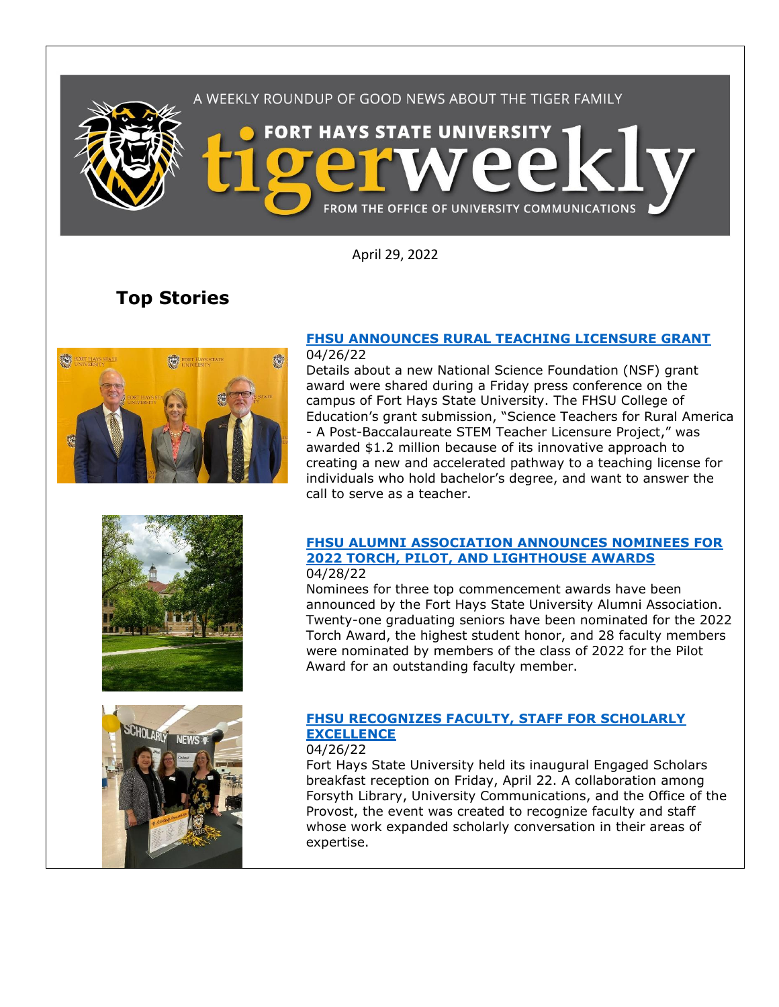

April 29, 2022

# **Top Stories**



#### **[FHSU ANNOUNCES RURAL TEACHING LICENSURE GRANT](https://www.fhsu.edu/news/2022/04/fhsu-announces-rural-teaching-licensure-grant)** 04/26/22

Details about a new National Science Foundation (NSF) grant award were shared during a Friday press conference on the campus of Fort Hays State University. The FHSU College of Education's grant submission, "Science Teachers for Rural America - A Post-Baccalaureate STEM Teacher Licensure Project," was awarded \$1.2 million because of its innovative approach to creating a new and accelerated pathway to a teaching license for individuals who hold bachelor's degree, and want to answer the call to serve as a teacher.

### **[FHSU ALUMNI ASSOCIATION ANNOUNCES NOMINEES FOR](https://www.fhsu.edu/news/2022/04/fhsu-alumni-association-announces-nominees-for-2022-torch,-pilot,-and-lighthouse-awards)  [2022 TORCH, PILOT, AND LIGHTHOUSE AWARDS](https://www.fhsu.edu/news/2022/04/fhsu-alumni-association-announces-nominees-for-2022-torch,-pilot,-and-lighthouse-awards)** 04/28/22

Nominees for three top commencement awards have been announced by the Fort Hays State University Alumni Association. Twenty-one graduating seniors have been nominated for the 2022 Torch Award, the highest student honor, and 28 faculty members were nominated by members of the class of 2022 for the Pilot Award for an outstanding faculty member.

# **[FHSU RECOGNIZES FACULTY, STAFF FOR SCHOLARLY](https://www.fhsu.edu/news/2022/04/fhsu-recognizes-faculty,-staff-for-scholarly-excellence)  [EXCELLENCE](https://www.fhsu.edu/news/2022/04/fhsu-recognizes-faculty,-staff-for-scholarly-excellence)**

04/26/22

Fort Hays State University held its inaugural Engaged Scholars breakfast reception on Friday, April 22. A collaboration among Forsyth Library, University Communications, and the Office of the Provost, the event was created to recognize faculty and staff whose work expanded scholarly conversation in their areas of expertise.

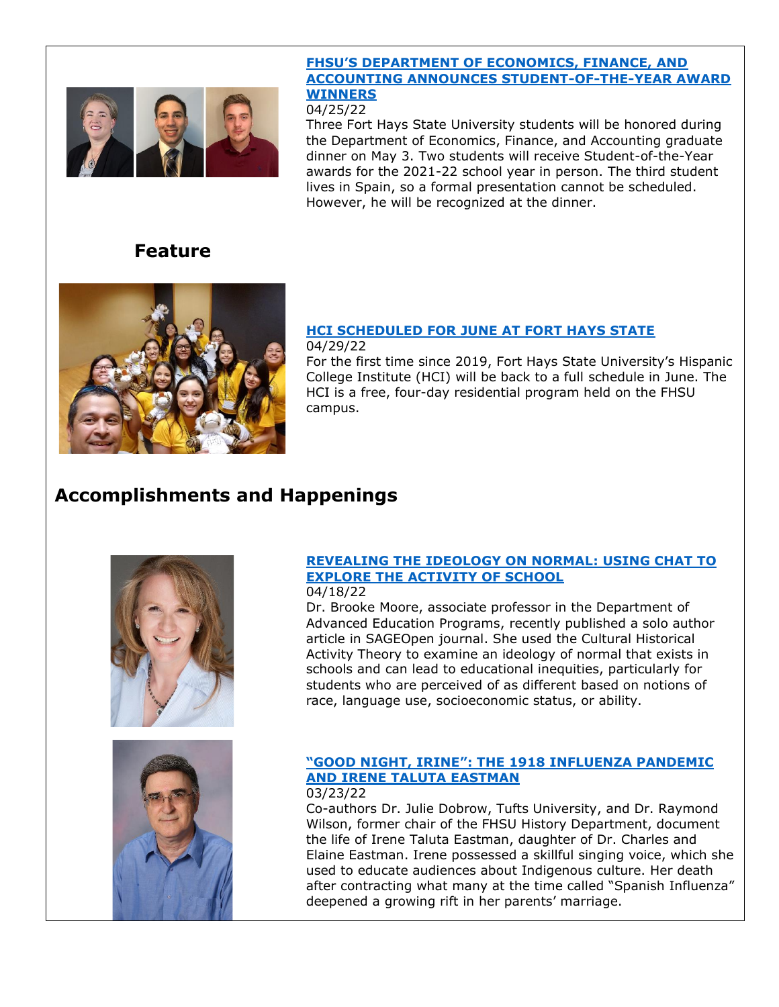

### **[FHSU'S DEPARTMENT OF ECONOMICS, FINANCE, AND](https://www.fhsu.edu/news/2022/04/fhsus-department-of-economics,-finance,-and-accounting-announces-student-of-the-year-award-winners)  [ACCOUNTING ANNOUNCES STUDENT-OF-THE-YEAR](https://www.fhsu.edu/news/2022/04/fhsus-department-of-economics,-finance,-and-accounting-announces-student-of-the-year-award-winners) AWARD [WINNERS](https://www.fhsu.edu/news/2022/04/fhsus-department-of-economics,-finance,-and-accounting-announces-student-of-the-year-award-winners)**

### 04/25/22

Three Fort Hays State University students will be honored during the Department of Economics, Finance, and Accounting graduate dinner on May 3. Two students will receive Student-of-the-Year awards for the 2021-22 school year in person. The third student lives in Spain, so a formal presentation cannot be scheduled. However, he will be recognized at the dinner.

# **Feature**



## **[HCI SCHEDULED FOR JUNE AT FORT HAYS STATE](https://www.fhsu.edu/news/2022/04/hci-scheduled-for-june-at-fort-hays-state)**

### 04/29/22

For the first time since 2019, Fort Hays State University's Hispanic College Institute (HCI) will be back to a full schedule in June. The HCI is a free, four-day residential program held on the FHSU campus.

# **Accomplishments and Happenings**



## **[REVEALING THE IDEOLOGY ON NORMAL: USING CHAT TO](https://journals.sagepub.com/doi/10.1177/21582440221091233)  [EXPLORE THE ACTIVITY OF SCHOOL](https://journals.sagepub.com/doi/10.1177/21582440221091233)**

### 04/18/22

Dr. Brooke Moore, associate professor in the Department of Advanced Education Programs, recently published a solo author article in SAGEOpen journal. She used the Cultural Historical Activity Theory to examine an ideology of normal that exists in schools and can lead to educational inequities, particularly for students who are perceived of as different based on notions of race, language use, socioeconomic status, or ability.



#### **"GOOD NIGHT, IRINE[": THE 1918 INFLUENZA PANDEMIC](https://www.sdhspress.com/journal/south-dakota-history-52-1/good-night-irene-the-1918-influenza-pandemic-and-irene-taluta-eastman)  [AND IRENE TALUTA EASTMAN](https://www.sdhspress.com/journal/south-dakota-history-52-1/good-night-irene-the-1918-influenza-pandemic-and-irene-taluta-eastman)** 03/23/22

Co-authors Dr. Julie Dobrow, Tufts University, and Dr. Raymond Wilson, former chair of the FHSU History Department, document the life of Irene Taluta Eastman, daughter of Dr. Charles and Elaine Eastman. Irene possessed a skillful singing voice, which she used to educate audiences about Indigenous culture. Her death after contracting what many at the time called "Spanish Influenza" deepened a growing rift in her parents' marriage.